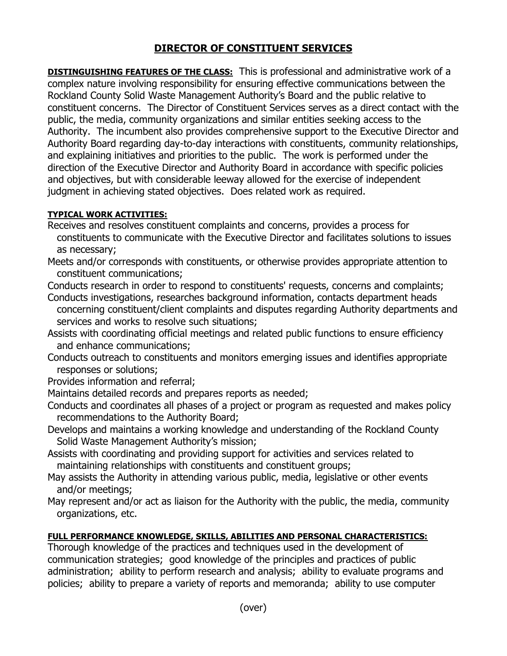## **DIRECTOR OF CONSTITUENT SERVICES**

**DISTINGUISHING FEATURES OF THE CLASS:** This is professional and administrative work of a complex nature involving responsibility for ensuring effective communications between the Rockland County Solid Waste Management Authority's Board and the public relative to constituent concerns. The Director of Constituent Services serves as a direct contact with the public, the media, community organizations and similar entities seeking access to the Authority. The incumbent also provides comprehensive support to the Executive Director and Authority Board regarding day-to-day interactions with constituents, community relationships, and explaining initiatives and priorities to the public. The work is performed under the direction of the Executive Director and Authority Board in accordance with specific policies and objectives, but with considerable leeway allowed for the exercise of independent judgment in achieving stated objectives. Does related work as required.

## **TYPICAL WORK ACTIVITIES:**

- Receives and resolves constituent complaints and concerns, provides a process for constituents to communicate with the Executive Director and facilitates solutions to issues as necessary;
- Meets and/or corresponds with constituents, or otherwise provides appropriate attention to constituent communications;
- Conducts research in order to respond to constituents' requests, concerns and complaints;
- Conducts investigations, researches background information, contacts department heads concerning constituent/client complaints and disputes regarding Authority departments and services and works to resolve such situations;
- Assists with coordinating official meetings and related public functions to ensure efficiency and enhance communications;
- Conducts outreach to constituents and monitors emerging issues and identifies appropriate responses or solutions;
- Provides information and referral;
- Maintains detailed records and prepares reports as needed;
- Conducts and coordinates all phases of a project or program as requested and makes policy recommendations to the Authority Board;
- Develops and maintains a working knowledge and understanding of the Rockland County Solid Waste Management Authority's mission;
- Assists with coordinating and providing support for activities and services related to maintaining relationships with constituents and constituent groups;
- May assists the Authority in attending various public, media, legislative or other events and/or meetings;
- May represent and/or act as liaison for the Authority with the public, the media, community organizations, etc.

## **FULL PERFORMANCE KNOWLEDGE, SKILLS, ABILITIES AND PERSONAL CHARACTERISTICS:**

Thorough knowledge of the practices and techniques used in the development of communication strategies; good knowledge of the principles and practices of public administration; ability to perform research and analysis; ability to evaluate programs and policies; ability to prepare a variety of reports and memoranda; ability to use computer